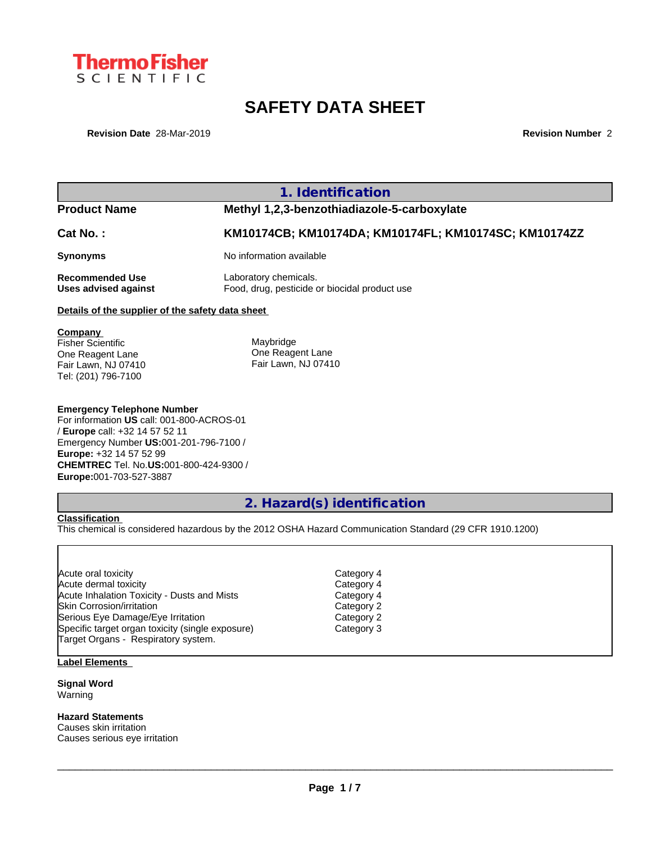

# **SAFETY DATA SHEET**

**Revision Date** 28-Mar-2019 **Revision Number** 2

**1. Identification**

# **Product Name Methyl 1,2,3-benzothiadiazole-5-carboxylate**

**Cat No. : KM10174CB; KM10174DA; KM10174FL; KM10174SC; KM10174ZZ**

**Synonyms** No information available

**Recommended Use** Laboratory chemicals. **Uses advised against** Food, drug, pesticide or biocidal product use

### **Details of the supplier of the safety data sheet**

**Company**  Fisher Scientific One Reagent Lane Fair Lawn, NJ 07410

Tel: (201) 796-7100

Maybridge One Reagent Lane Fair Lawn, NJ 07410

#### **Emergency Telephone Number**

For information **US** call: 001-800-ACROS-01 / **Europe** call: +32 14 57 52 11 Emergency Number **US:**001-201-796-7100 / **Europe:** +32 14 57 52 99 **CHEMTREC** Tel. No.**US:**001-800-424-9300 / **Europe:**001-703-527-3887

# **2. Hazard(s) identification**

**Classification**

This chemical is considered hazardous by the 2012 OSHA Hazard Communication Standard (29 CFR 1910.1200)

| Acute oral toxicity                              | Category 4 |  |
|--------------------------------------------------|------------|--|
| Acute dermal toxicity                            | Category 4 |  |
| Acute Inhalation Toxicity - Dusts and Mists      | Category 4 |  |
| <b>Skin Corrosion/irritation</b>                 | Category 2 |  |
| Serious Eye Damage/Eye Irritation                | Category 2 |  |
| Specific target organ toxicity (single exposure) | Category 3 |  |
| Target Organs - Respiratory system.              |            |  |

### **Label Elements**

**Signal Word** Warning

**Hazard Statements**

Causes skin irritation Causes serious eye irritation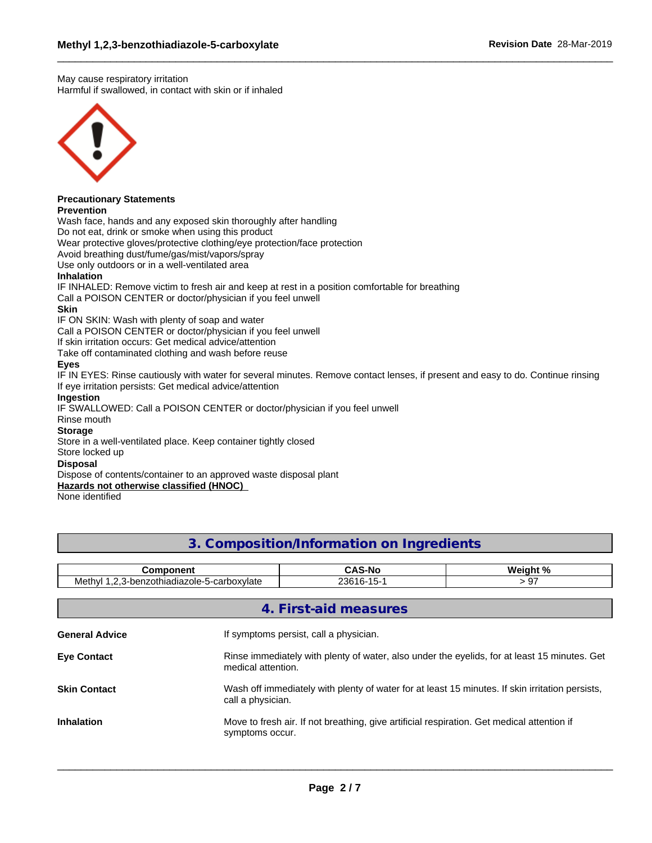May cause respiratory irritation Harmful if swallowed, in contact with skin or if inhaled



# **Precautionary Statements**

#### **Prevention**

Wash face, hands and any exposed skin thoroughly after handling

Do not eat, drink or smoke when using this product

Wear protective gloves/protective clothing/eye protection/face protection

Avoid breathing dust/fume/gas/mist/vapors/spray

Use only outdoors or in a well-ventilated area

#### **Inhalation**

IF INHALED: Remove victim to fresh air and keep at rest in a position comfortable for breathing

Call a POISON CENTER or doctor/physician if you feel unwell

#### **Skin**

IF ON SKIN: Wash with plenty of soap and water

Call a POISON CENTER or doctor/physician if you feel unwell

If skin irritation occurs: Get medical advice/attention

Take off contaminated clothing and wash before reuse

#### **Eyes**

IF IN EYES: Rinse cautiously with water for several minutes. Remove contact lenses, if present and easy to do. Continue rinsing If eye irritation persists: Get medical advice/attention

#### **Ingestion**

IF SWALLOWED: Call a POISON CENTER or doctor/physician if you feel unwell

## Rinse mouth

### **Storage**

Store in a well-ventilated place. Keep container tightly closed

#### Store locked up

#### **Disposal**

Dispose of contents/container to an approved waste disposal plant

#### **Hazards not otherwise classified (HNOC)**

None identified

# **3. Composition/Information on Ingredients**

| <b>Component</b>      |                                                                                                                      | <b>CAS-No</b>                                                                                                      | Weight % |  |  |  |  |  |  |
|-----------------------|----------------------------------------------------------------------------------------------------------------------|--------------------------------------------------------------------------------------------------------------------|----------|--|--|--|--|--|--|
|                       | Methyl 1,2,3-benzothiadiazole-5-carboxylate<br>23616-15-1<br>> 97                                                    |                                                                                                                    |          |  |  |  |  |  |  |
|                       |                                                                                                                      | 4. First-aid measures                                                                                              |          |  |  |  |  |  |  |
| <b>General Advice</b> |                                                                                                                      | If symptoms persist, call a physician.                                                                             |          |  |  |  |  |  |  |
| <b>Eye Contact</b>    |                                                                                                                      | Rinse immediately with plenty of water, also under the eyelids, for at least 15 minutes. Get<br>medical attention. |          |  |  |  |  |  |  |
| <b>Skin Contact</b>   | Wash off immediately with plenty of water for at least 15 minutes. If skin irritation persists,<br>call a physician. |                                                                                                                    |          |  |  |  |  |  |  |
| <b>Inhalation</b>     | symptoms occur.                                                                                                      | Move to fresh air. If not breathing, give artificial respiration. Get medical attention if                         |          |  |  |  |  |  |  |
|                       |                                                                                                                      |                                                                                                                    |          |  |  |  |  |  |  |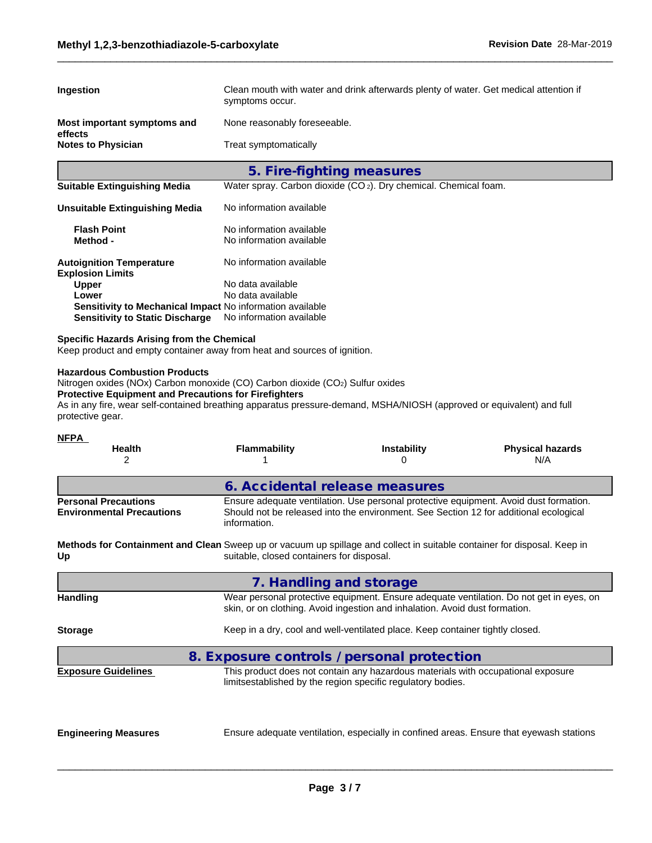| Ingestion                                                                                                                                                                                                                                                                                  | Clean mouth with water and drink afterwards plenty of water. Get medical attention if<br>symptoms occur. |                                                                                                                                                                                |                                |  |  |  |  |  |  |
|--------------------------------------------------------------------------------------------------------------------------------------------------------------------------------------------------------------------------------------------------------------------------------------------|----------------------------------------------------------------------------------------------------------|--------------------------------------------------------------------------------------------------------------------------------------------------------------------------------|--------------------------------|--|--|--|--|--|--|
| Most important symptoms and                                                                                                                                                                                                                                                                | None reasonably foreseeable.                                                                             |                                                                                                                                                                                |                                |  |  |  |  |  |  |
| effects<br><b>Notes to Physician</b>                                                                                                                                                                                                                                                       | Treat symptomatically                                                                                    |                                                                                                                                                                                |                                |  |  |  |  |  |  |
|                                                                                                                                                                                                                                                                                            |                                                                                                          | 5. Fire-fighting measures                                                                                                                                                      |                                |  |  |  |  |  |  |
| <b>Suitable Extinguishing Media</b>                                                                                                                                                                                                                                                        |                                                                                                          | Water spray. Carbon dioxide (CO <sub>2</sub> ). Dry chemical. Chemical foam.                                                                                                   |                                |  |  |  |  |  |  |
| <b>Unsuitable Extinguishing Media</b>                                                                                                                                                                                                                                                      | No information available                                                                                 |                                                                                                                                                                                |                                |  |  |  |  |  |  |
| <b>Flash Point</b><br>Method -                                                                                                                                                                                                                                                             | No information available<br>No information available                                                     |                                                                                                                                                                                |                                |  |  |  |  |  |  |
| <b>Autoignition Temperature</b><br><b>Explosion Limits</b><br><b>Upper</b>                                                                                                                                                                                                                 | No information available<br>No data available                                                            |                                                                                                                                                                                |                                |  |  |  |  |  |  |
| Lower                                                                                                                                                                                                                                                                                      | No data available                                                                                        |                                                                                                                                                                                |                                |  |  |  |  |  |  |
| Sensitivity to Mechanical Impact No information available<br><b>Sensitivity to Static Discharge</b>                                                                                                                                                                                        | No information available                                                                                 |                                                                                                                                                                                |                                |  |  |  |  |  |  |
| <b>Specific Hazards Arising from the Chemical</b><br>Keep product and empty container away from heat and sources of ignition.                                                                                                                                                              |                                                                                                          |                                                                                                                                                                                |                                |  |  |  |  |  |  |
| Nitrogen oxides (NOx) Carbon monoxide (CO) Carbon dioxide (CO2) Sulfur oxides<br><b>Protective Equipment and Precautions for Firefighters</b><br>As in any fire, wear self-contained breathing apparatus pressure-demand, MSHA/NIOSH (approved or equivalent) and full<br>protective gear. |                                                                                                          |                                                                                                                                                                                |                                |  |  |  |  |  |  |
| <u>NFPA</u><br>Health<br>2                                                                                                                                                                                                                                                                 | Flammability<br>1                                                                                        | <b>Instability</b><br>0                                                                                                                                                        | <b>Physical hazards</b><br>N/A |  |  |  |  |  |  |
|                                                                                                                                                                                                                                                                                            |                                                                                                          | 6. Accidental release measures                                                                                                                                                 |                                |  |  |  |  |  |  |
| <b>Personal Precautions</b><br><b>Environmental Precautions</b>                                                                                                                                                                                                                            | information.                                                                                             | Ensure adequate ventilation. Use personal protective equipment. Avoid dust formation.<br>Should not be released into the environment. See Section 12 for additional ecological |                                |  |  |  |  |  |  |
| Methods for Containment and Clean Sweep up or vacuum up spillage and collect in suitable container for disposal. Keep in<br>Up                                                                                                                                                             | suitable, closed containers for disposal.                                                                |                                                                                                                                                                                |                                |  |  |  |  |  |  |
|                                                                                                                                                                                                                                                                                            |                                                                                                          | 7. Handling and storage                                                                                                                                                        |                                |  |  |  |  |  |  |
| <b>Handling</b>                                                                                                                                                                                                                                                                            |                                                                                                          | Wear personal protective equipment. Ensure adequate ventilation. Do not get in eyes, on<br>skin, or on clothing. Avoid ingestion and inhalation. Avoid dust formation.         |                                |  |  |  |  |  |  |
| <b>Storage</b>                                                                                                                                                                                                                                                                             |                                                                                                          | Keep in a dry, cool and well-ventilated place. Keep container tightly closed.                                                                                                  |                                |  |  |  |  |  |  |
|                                                                                                                                                                                                                                                                                            |                                                                                                          | 8. Exposure controls / personal protection                                                                                                                                     |                                |  |  |  |  |  |  |
| <b>Exposure Guidelines</b>                                                                                                                                                                                                                                                                 |                                                                                                          | This product does not contain any hazardous materials with occupational exposure<br>limitsestablished by the region specific regulatory bodies.                                |                                |  |  |  |  |  |  |
| <b>Engineering Measures</b>                                                                                                                                                                                                                                                                |                                                                                                          | Ensure adequate ventilation, especially in confined areas. Ensure that eyewash stations                                                                                        |                                |  |  |  |  |  |  |
|                                                                                                                                                                                                                                                                                            |                                                                                                          |                                                                                                                                                                                |                                |  |  |  |  |  |  |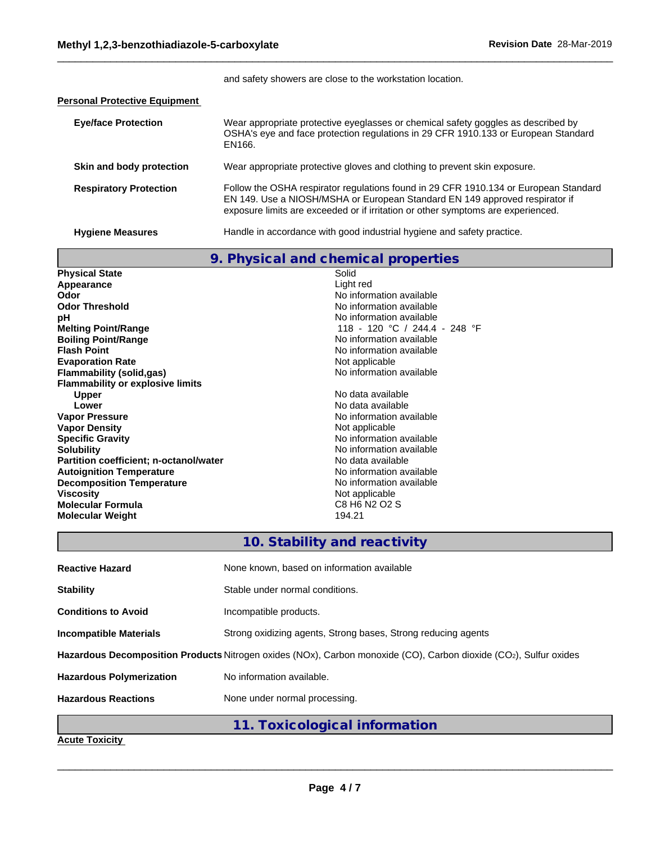and safety showers are close to the workstation location.

#### **Personal Protective Equipment**

| <b>Eye/face Protection</b>    | Wear appropriate protective eyeglasses or chemical safety goggles as described by<br>OSHA's eye and face protection regulations in 29 CFR 1910.133 or European Standard<br>EN166.                                                                       |
|-------------------------------|---------------------------------------------------------------------------------------------------------------------------------------------------------------------------------------------------------------------------------------------------------|
| Skin and body protection      | Wear appropriate protective gloves and clothing to prevent skin exposure.                                                                                                                                                                               |
| <b>Respiratory Protection</b> | Follow the OSHA respirator regulations found in 29 CFR 1910.134 or European Standard<br>EN 149. Use a NIOSH/MSHA or European Standard EN 149 approved respirator if<br>exposure limits are exceeded or if irritation or other symptoms are experienced. |
| <b>Hygiene Measures</b>       | Handle in accordance with good industrial hygiene and safety practice.                                                                                                                                                                                  |

|                                               | 9. Physical and chemical properties |
|-----------------------------------------------|-------------------------------------|
| <b>Physical State</b>                         | Solid                               |
| Appearance                                    | Light red                           |
| Odor                                          | No information available            |
| <b>Odor Threshold</b>                         | No information available            |
| pH                                            | No information available            |
| <b>Melting Point/Range</b>                    | 118 - 120 °C / 244.4 - 248 °F       |
| <b>Boiling Point/Range</b>                    | No information available            |
| <b>Flash Point</b>                            | No information available            |
| <b>Evaporation Rate</b>                       | Not applicable                      |
| Flammability (solid,gas)                      | No information available            |
| <b>Flammability or explosive limits</b>       |                                     |
| <b>Upper</b>                                  | No data available                   |
| Lower                                         | No data available                   |
| <b>Vapor Pressure</b>                         | No information available            |
| <b>Vapor Density</b>                          | Not applicable                      |
| <b>Specific Gravity</b>                       | No information available            |
| <b>Solubility</b>                             | No information available            |
| <b>Partition coefficient; n-octanol/water</b> | No data available                   |
| <b>Autoignition Temperature</b>               | No information available            |
| <b>Decomposition Temperature</b>              | No information available            |
| <b>Viscosity</b>                              | Not applicable                      |
| <b>Molecular Formula</b>                      | C8 H6 N2 O2 S                       |
| <b>Molecular Weight</b>                       | 194.21                              |
|                                               |                                     |

# **10. Stability and reactivity**

| <b>Reactive Hazard</b>          | None known, based on information available                                                                        |
|---------------------------------|-------------------------------------------------------------------------------------------------------------------|
| <b>Stability</b>                | Stable under normal conditions.                                                                                   |
| <b>Conditions to Avoid</b>      | Incompatible products.                                                                                            |
| Incompatible Materials          | Strong oxidizing agents, Strong bases, Strong reducing agents                                                     |
|                                 | Hazardous Decomposition Products Nitrogen oxides (NOx), Carbon monoxide (CO), Carbon dioxide (CO2), Sulfur oxides |
| <b>Hazardous Polymerization</b> | No information available.                                                                                         |
| <b>Hazardous Reactions</b>      | None under normal processing.                                                                                     |

**11. Toxicological information**

 $\_$  ,  $\_$  ,  $\_$  ,  $\_$  ,  $\_$  ,  $\_$  ,  $\_$  ,  $\_$  ,  $\_$  ,  $\_$  ,  $\_$  ,  $\_$  ,  $\_$  ,  $\_$  ,  $\_$  ,  $\_$  ,  $\_$  ,  $\_$  ,  $\_$  ,  $\_$  ,  $\_$  ,  $\_$  ,  $\_$  ,  $\_$  ,  $\_$  ,  $\_$  ,  $\_$  ,  $\_$  ,  $\_$  ,  $\_$  ,  $\_$  ,  $\_$  ,  $\_$  ,  $\_$  ,  $\_$  ,  $\_$  ,  $\_$  ,

### **Acute Toxicity**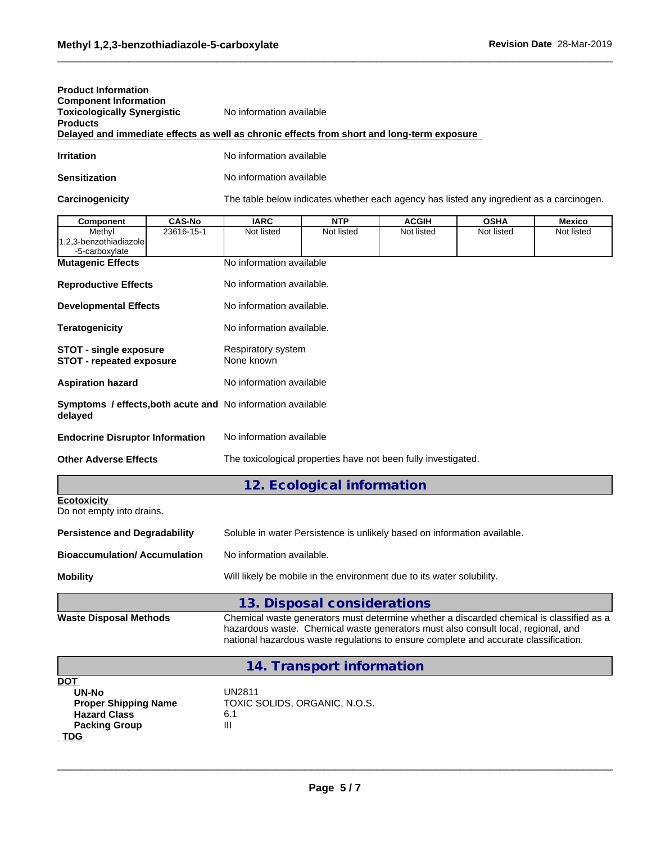| <b>Product Information</b>         |                                                                                            |
|------------------------------------|--------------------------------------------------------------------------------------------|
| <b>Component Information</b>       |                                                                                            |
| <b>Toxicologically Synergistic</b> | No information available                                                                   |
| <b>Products</b>                    |                                                                                            |
|                                    | Delayed and immediate effects as well as chronic effects from short and long-term exposure |
| <b>Irritation</b>                  | No information available                                                                   |

| Sensitization | No information available |
|---------------|--------------------------|
|               |                          |

Carcinogenicity The table below indicates whether each agency has listed any ingredient as a carcinogen.

| <b>CAS-No</b><br>Component                                                                 | <b>IARC</b>                                                    | <b>NTP</b>                                                                                                                                                                                                                                                            | <b>ACGIH</b> | <b>OSHA</b> | <b>Mexico</b> |  |  |  |  |  |
|--------------------------------------------------------------------------------------------|----------------------------------------------------------------|-----------------------------------------------------------------------------------------------------------------------------------------------------------------------------------------------------------------------------------------------------------------------|--------------|-------------|---------------|--|--|--|--|--|
| 23616-15-1<br>Methyl                                                                       | Not listed                                                     | Not listed                                                                                                                                                                                                                                                            | Not listed   | Not listed  | Not listed    |  |  |  |  |  |
| 1,2,3-benzothiadiazole                                                                     |                                                                |                                                                                                                                                                                                                                                                       |              |             |               |  |  |  |  |  |
| -5-carboxylate                                                                             |                                                                |                                                                                                                                                                                                                                                                       |              |             |               |  |  |  |  |  |
| <b>Mutagenic Effects</b>                                                                   | No information available                                       |                                                                                                                                                                                                                                                                       |              |             |               |  |  |  |  |  |
| <b>Reproductive Effects</b>                                                                | No information available.                                      |                                                                                                                                                                                                                                                                       |              |             |               |  |  |  |  |  |
| <b>Developmental Effects</b>                                                               | No information available.                                      |                                                                                                                                                                                                                                                                       |              |             |               |  |  |  |  |  |
| Teratogenicity                                                                             |                                                                | No information available.                                                                                                                                                                                                                                             |              |             |               |  |  |  |  |  |
| <b>STOT - single exposure</b><br><b>STOT - repeated exposure</b>                           | Respiratory system<br>None known                               |                                                                                                                                                                                                                                                                       |              |             |               |  |  |  |  |  |
| <b>Aspiration hazard</b>                                                                   | No information available                                       |                                                                                                                                                                                                                                                                       |              |             |               |  |  |  |  |  |
| Symptoms / effects, both acute and No information available<br>delayed                     |                                                                |                                                                                                                                                                                                                                                                       |              |             |               |  |  |  |  |  |
| <b>Endocrine Disruptor Information</b>                                                     |                                                                | No information available                                                                                                                                                                                                                                              |              |             |               |  |  |  |  |  |
| <b>Other Adverse Effects</b>                                                               | The toxicological properties have not been fully investigated. |                                                                                                                                                                                                                                                                       |              |             |               |  |  |  |  |  |
|                                                                                            |                                                                | 12. Ecological information                                                                                                                                                                                                                                            |              |             |               |  |  |  |  |  |
| Ecotoxicity<br>Do not empty into drains.                                                   |                                                                |                                                                                                                                                                                                                                                                       |              |             |               |  |  |  |  |  |
| <b>Persistence and Degradability</b>                                                       |                                                                | Soluble in water Persistence is unlikely based on information available.                                                                                                                                                                                              |              |             |               |  |  |  |  |  |
| <b>Bioaccumulation/Accumulation</b>                                                        | No information available.                                      |                                                                                                                                                                                                                                                                       |              |             |               |  |  |  |  |  |
| Mobility                                                                                   |                                                                | Will likely be mobile in the environment due to its water solubility.                                                                                                                                                                                                 |              |             |               |  |  |  |  |  |
|                                                                                            |                                                                | 13. Disposal considerations                                                                                                                                                                                                                                           |              |             |               |  |  |  |  |  |
| <b>Waste Disposal Methods</b>                                                              |                                                                | Chemical waste generators must determine whether a discarded chemical is classified as a<br>hazardous waste. Chemical waste generators must also consult local, regional, and<br>national hazardous waste regulations to ensure complete and accurate classification. |              |             |               |  |  |  |  |  |
|                                                                                            |                                                                | 14. Transport information                                                                                                                                                                                                                                             |              |             |               |  |  |  |  |  |
| DOT<br>UN-No<br><b>Proper Shipping Name</b><br><b>Hazard Class</b><br><b>Packing Group</b> | UN2811<br>6.1<br>Ш                                             | TOXIC SOLIDS, ORGANIC, N.O.S.                                                                                                                                                                                                                                         |              |             |               |  |  |  |  |  |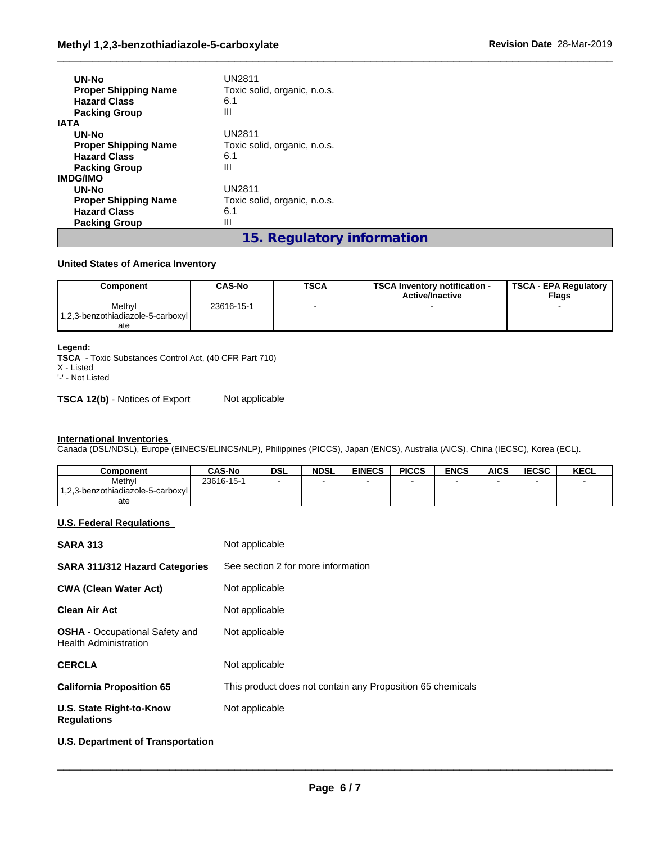| <b>UN-No</b><br><b>Proper Shipping Name</b><br><b>Hazard Class</b><br><b>Packing Group</b> | <b>UN2811</b><br>Toxic solid, organic, n.o.s.<br>6.1<br>Ш |
|--------------------------------------------------------------------------------------------|-----------------------------------------------------------|
| <b>IATA</b>                                                                                |                                                           |
| UN-No                                                                                      | UN2811                                                    |
| <b>Proper Shipping Name</b>                                                                | Toxic solid, organic, n.o.s.                              |
| <b>Hazard Class</b>                                                                        | 6.1                                                       |
| <b>Packing Group</b>                                                                       | Ш                                                         |
| <b>IMDG/IMO</b>                                                                            |                                                           |
| UN-No                                                                                      | UN2811                                                    |
| <b>Proper Shipping Name</b>                                                                | Toxic solid, organic, n.o.s.                              |
| <b>Hazard Class</b>                                                                        | 6.1                                                       |
| <b>Packing Group</b>                                                                       | Ш                                                         |
|                                                                                            | 15. Regulatory information                                |

### **United States of America Inventory**

| Component                         | CAS-No     | <b>TSCA</b> | <b>TSCA Inventory notification -</b><br><b>Active/Inactive</b> | <b>TSCA - EPA Regulatory</b><br><b>Flags</b> |
|-----------------------------------|------------|-------------|----------------------------------------------------------------|----------------------------------------------|
| Methyl                            | 23616-15-1 |             |                                                                |                                              |
| 1,2,3-benzothiadiazole-5-carboxyl |            |             |                                                                |                                              |
| ate                               |            |             |                                                                |                                              |

#### **Legend:**

**TSCA** - Toxic Substances Control Act, (40 CFR Part 710)

X - Listed '-' - Not Listed

**TSCA 12(b)** - Notices of Export Not applicable

#### **International Inventories**

Canada (DSL/NDSL), Europe (EINECS/ELINCS/NLP), Philippines (PICCS), Japan (ENCS), Australia (AICS), China (IECSC), Korea (ECL).

| Component                         | <b>CAS-No</b> | <b>DSL</b> | <b>NDSL</b> | <b>EINECS</b> | <b>PICCS</b> | <b>ENCS</b> | <b>AICS</b> | <b>IECSC</b> | <b>KECL</b> |
|-----------------------------------|---------------|------------|-------------|---------------|--------------|-------------|-------------|--------------|-------------|
| Methyl                            | 23616-15-1    |            |             |               |              |             |             |              |             |
| 1,2,3-benzothiadiazole-5-carboxyl |               |            |             |               |              |             |             |              |             |
| ate                               |               |            |             |               |              |             |             |              |             |

#### **U.S. Federal Regulations**

| <b>SARA 313</b>                                                       | Not applicable                                             |
|-----------------------------------------------------------------------|------------------------------------------------------------|
| <b>SARA 311/312 Hazard Categories</b>                                 | See section 2 for more information                         |
| <b>CWA (Clean Water Act)</b>                                          | Not applicable                                             |
| <b>Clean Air Act</b>                                                  | Not applicable                                             |
| <b>OSHA</b> - Occupational Safety and<br><b>Health Administration</b> | Not applicable                                             |
| <b>CERCLA</b>                                                         | Not applicable                                             |
| <b>California Proposition 65</b>                                      | This product does not contain any Proposition 65 chemicals |
| U.S. State Right-to-Know<br><b>Regulations</b>                        | Not applicable                                             |
| U.S. Department of Transportation                                     |                                                            |